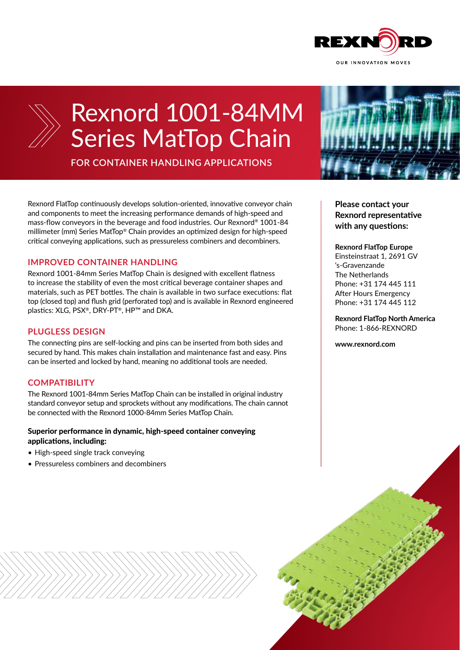



# Rexnord 1001-84MM Series MatTop Chain

**FOR CONTAINER HANDLING APPLICATIONS**

Rexnord FlatTop continuously develops solution-oriented, innovative conveyor chain and components to meet the increasing performance demands of high-speed and mass-flow conveyors in the beverage and food industries. Our Rexnord® 1001-84 millimeter (mm) Series MatTop® Chain provides an optimized design for high-speed critical conveying applications, such as pressureless combiners and decombiners.

## **IMPROVED CONTAINER HANDLING**

Rexnord 1001-84mm Series MatTop Chain is designed with excellent flatness to increase the stability of even the most critical beverage container shapes and materials, such as PET bottles. The chain is available in two surface executions: flat top (closed top) and flush grid (perforated top) and is available in Rexnord engineered plastics: XLG, PSX®, DRY-PT®, HP™ and DKA.

## **PLUGLESS DESIGN**

The connecting pins are self-locking and pins can be inserted from both sides and secured by hand. This makes chain installation and maintenance fast and easy. Pins can be inserted and locked by hand, meaning no additional tools are needed.

## **COMPATIBILITY**

The Rexnord 1001-84mm Series MatTop Chain can be installed in original industry standard conveyor setup and sprockets without any modifications. The chain cannot be connected with the Rexnord 1000-84mm Series MatTop Chain.

## Superior performance in dynamic, high-speed container conveying applications, including:

- High-speed single track conveying
- Pressureless combiners and decombiners



**Please contact your Rexnord representative with any questions:**

### **Rexnord FlatTop Europe**

Einsteinstraat 1, 2691 GV 's-Gravenzande The Netherlands Phone: +31 174 445 111 After Hours Emergency Phone: +31 174 445 112

**Rexnord FlatTop North America** Phone: 1-866-REXNORD

**www.rexnord.com**